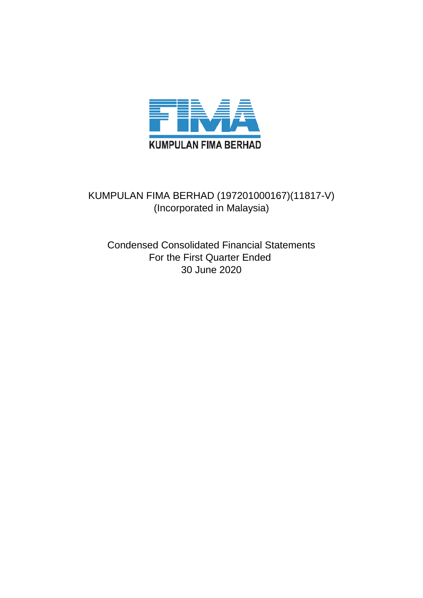

# KUMPULAN FIMA BERHAD (197201000167)(11817-V) (Incorporated in Malaysia)

Condensed Consolidated Financial Statements For the First Quarter Ended 30 June 2020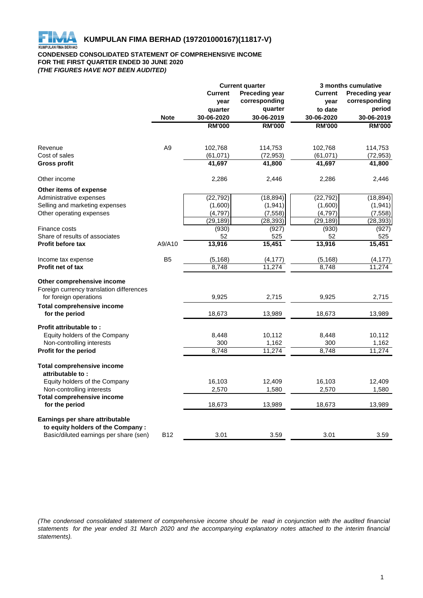

# **CONDENSED CONSOLIDATED STATEMENT OF COMPREHENSIVE INCOME FOR THE FIRST QUARTER ENDED 30 JUNE 2020** *(THE FIGURES HAVE NOT BEEN AUDITED)*

| <b>Current</b><br><b>Preceding year</b><br><b>Current</b><br><b>Preceding year</b><br>corresponding<br>corresponding<br>year<br>year<br>period<br>quarter<br>to date<br>quarter<br>30-06-2020<br>30-06-2020<br>30-06-2019<br><b>Note</b><br>30-06-2019<br><b>RM'000</b><br><b>RM'000</b><br><b>RM'000</b><br><b>RM'000</b><br>A <sub>9</sub><br>102,768<br>102,768<br>Revenue<br>114,753<br>114,753<br>Cost of sales<br>(61,071)<br>(72, 953)<br>(61,071)<br>(72, 953)<br>41,697<br>41,800<br>41,800<br><b>Gross profit</b><br>41,697<br>Other income<br>2,286<br>2,446<br>2,286<br>2,446<br>Other items of expense<br>(22, 792)<br>(18, 894)<br>(22, 792)<br>(18, 894)<br>Administrative expenses<br>Selling and marketing expenses<br>(1,600)<br>(1,941)<br>(1,600)<br>(1,941)<br>(4,797)<br>(7, 558)<br>(4, 797)<br>(7, 558)<br>Other operating expenses<br>(29, 189)<br>(28, 393)<br>(29, 189)<br>(28, 393)<br>(930)<br>(927)<br>Finance costs<br>(930)<br>(927)<br>Share of results of associates<br>52<br>52<br>525<br>525<br>15,451<br>15,451<br>13,916<br>13,916<br><b>Profit before tax</b><br>A9/A10<br>B <sub>5</sub><br>Income tax expense<br>(5, 168)<br>(4, 177)<br>(5, 168)<br>(4, 177)<br>11.274<br>8,748<br>11.274<br>8,748<br><b>Profit net of tax</b><br>Other comprehensive income<br>Foreign currency translation differences<br>for foreign operations<br>9,925<br>2,715<br>9,925<br>2,715<br><b>Total comprehensive income</b><br>for the period<br>18,673<br>13,989<br>18,673<br>13,989<br>Profit attributable to:<br>10,112<br>Equity holders of the Company<br>8,448<br>10,112<br>8,448<br>300<br>1,162<br>300<br>1,162<br>Non-controlling interests<br>Profit for the period<br>8,748<br>11,274<br>8,748<br>11,274<br><b>Total comprehensive income</b><br>attributable to:<br>Equity holders of the Company<br>16,103<br>12,409<br>16,103<br>12,409<br>Non-controlling interests<br>2,570<br>1,580<br>2,570<br>1,580<br><b>Total comprehensive income</b><br>for the period<br>18,673<br>18,673<br>13,989<br>13,989<br>Earnings per share attributable<br>to equity holders of the Company :<br>Basic/diluted earnings per share (sen)<br><b>B12</b><br>3.01<br>3.59<br>3.01<br>3.59 |  | <b>Current quarter</b> |  | 3 months cumulative |  |  |
|------------------------------------------------------------------------------------------------------------------------------------------------------------------------------------------------------------------------------------------------------------------------------------------------------------------------------------------------------------------------------------------------------------------------------------------------------------------------------------------------------------------------------------------------------------------------------------------------------------------------------------------------------------------------------------------------------------------------------------------------------------------------------------------------------------------------------------------------------------------------------------------------------------------------------------------------------------------------------------------------------------------------------------------------------------------------------------------------------------------------------------------------------------------------------------------------------------------------------------------------------------------------------------------------------------------------------------------------------------------------------------------------------------------------------------------------------------------------------------------------------------------------------------------------------------------------------------------------------------------------------------------------------------------------------------------------------------------------------------------------------------------------------------------------------------------------------------------------------------------------------------------------------------------------------------------------------------------------------------------------------------------------------------------------------------------------------------------------------------------------------------------------------------------------------------------------------------------|--|------------------------|--|---------------------|--|--|
|                                                                                                                                                                                                                                                                                                                                                                                                                                                                                                                                                                                                                                                                                                                                                                                                                                                                                                                                                                                                                                                                                                                                                                                                                                                                                                                                                                                                                                                                                                                                                                                                                                                                                                                                                                                                                                                                                                                                                                                                                                                                                                                                                                                                                  |  |                        |  |                     |  |  |
|                                                                                                                                                                                                                                                                                                                                                                                                                                                                                                                                                                                                                                                                                                                                                                                                                                                                                                                                                                                                                                                                                                                                                                                                                                                                                                                                                                                                                                                                                                                                                                                                                                                                                                                                                                                                                                                                                                                                                                                                                                                                                                                                                                                                                  |  |                        |  |                     |  |  |
|                                                                                                                                                                                                                                                                                                                                                                                                                                                                                                                                                                                                                                                                                                                                                                                                                                                                                                                                                                                                                                                                                                                                                                                                                                                                                                                                                                                                                                                                                                                                                                                                                                                                                                                                                                                                                                                                                                                                                                                                                                                                                                                                                                                                                  |  |                        |  |                     |  |  |
|                                                                                                                                                                                                                                                                                                                                                                                                                                                                                                                                                                                                                                                                                                                                                                                                                                                                                                                                                                                                                                                                                                                                                                                                                                                                                                                                                                                                                                                                                                                                                                                                                                                                                                                                                                                                                                                                                                                                                                                                                                                                                                                                                                                                                  |  |                        |  |                     |  |  |
|                                                                                                                                                                                                                                                                                                                                                                                                                                                                                                                                                                                                                                                                                                                                                                                                                                                                                                                                                                                                                                                                                                                                                                                                                                                                                                                                                                                                                                                                                                                                                                                                                                                                                                                                                                                                                                                                                                                                                                                                                                                                                                                                                                                                                  |  |                        |  |                     |  |  |
|                                                                                                                                                                                                                                                                                                                                                                                                                                                                                                                                                                                                                                                                                                                                                                                                                                                                                                                                                                                                                                                                                                                                                                                                                                                                                                                                                                                                                                                                                                                                                                                                                                                                                                                                                                                                                                                                                                                                                                                                                                                                                                                                                                                                                  |  |                        |  |                     |  |  |
|                                                                                                                                                                                                                                                                                                                                                                                                                                                                                                                                                                                                                                                                                                                                                                                                                                                                                                                                                                                                                                                                                                                                                                                                                                                                                                                                                                                                                                                                                                                                                                                                                                                                                                                                                                                                                                                                                                                                                                                                                                                                                                                                                                                                                  |  |                        |  |                     |  |  |
|                                                                                                                                                                                                                                                                                                                                                                                                                                                                                                                                                                                                                                                                                                                                                                                                                                                                                                                                                                                                                                                                                                                                                                                                                                                                                                                                                                                                                                                                                                                                                                                                                                                                                                                                                                                                                                                                                                                                                                                                                                                                                                                                                                                                                  |  |                        |  |                     |  |  |
|                                                                                                                                                                                                                                                                                                                                                                                                                                                                                                                                                                                                                                                                                                                                                                                                                                                                                                                                                                                                                                                                                                                                                                                                                                                                                                                                                                                                                                                                                                                                                                                                                                                                                                                                                                                                                                                                                                                                                                                                                                                                                                                                                                                                                  |  |                        |  |                     |  |  |
|                                                                                                                                                                                                                                                                                                                                                                                                                                                                                                                                                                                                                                                                                                                                                                                                                                                                                                                                                                                                                                                                                                                                                                                                                                                                                                                                                                                                                                                                                                                                                                                                                                                                                                                                                                                                                                                                                                                                                                                                                                                                                                                                                                                                                  |  |                        |  |                     |  |  |
|                                                                                                                                                                                                                                                                                                                                                                                                                                                                                                                                                                                                                                                                                                                                                                                                                                                                                                                                                                                                                                                                                                                                                                                                                                                                                                                                                                                                                                                                                                                                                                                                                                                                                                                                                                                                                                                                                                                                                                                                                                                                                                                                                                                                                  |  |                        |  |                     |  |  |
|                                                                                                                                                                                                                                                                                                                                                                                                                                                                                                                                                                                                                                                                                                                                                                                                                                                                                                                                                                                                                                                                                                                                                                                                                                                                                                                                                                                                                                                                                                                                                                                                                                                                                                                                                                                                                                                                                                                                                                                                                                                                                                                                                                                                                  |  |                        |  |                     |  |  |
|                                                                                                                                                                                                                                                                                                                                                                                                                                                                                                                                                                                                                                                                                                                                                                                                                                                                                                                                                                                                                                                                                                                                                                                                                                                                                                                                                                                                                                                                                                                                                                                                                                                                                                                                                                                                                                                                                                                                                                                                                                                                                                                                                                                                                  |  |                        |  |                     |  |  |
|                                                                                                                                                                                                                                                                                                                                                                                                                                                                                                                                                                                                                                                                                                                                                                                                                                                                                                                                                                                                                                                                                                                                                                                                                                                                                                                                                                                                                                                                                                                                                                                                                                                                                                                                                                                                                                                                                                                                                                                                                                                                                                                                                                                                                  |  |                        |  |                     |  |  |
|                                                                                                                                                                                                                                                                                                                                                                                                                                                                                                                                                                                                                                                                                                                                                                                                                                                                                                                                                                                                                                                                                                                                                                                                                                                                                                                                                                                                                                                                                                                                                                                                                                                                                                                                                                                                                                                                                                                                                                                                                                                                                                                                                                                                                  |  |                        |  |                     |  |  |
|                                                                                                                                                                                                                                                                                                                                                                                                                                                                                                                                                                                                                                                                                                                                                                                                                                                                                                                                                                                                                                                                                                                                                                                                                                                                                                                                                                                                                                                                                                                                                                                                                                                                                                                                                                                                                                                                                                                                                                                                                                                                                                                                                                                                                  |  |                        |  |                     |  |  |
|                                                                                                                                                                                                                                                                                                                                                                                                                                                                                                                                                                                                                                                                                                                                                                                                                                                                                                                                                                                                                                                                                                                                                                                                                                                                                                                                                                                                                                                                                                                                                                                                                                                                                                                                                                                                                                                                                                                                                                                                                                                                                                                                                                                                                  |  |                        |  |                     |  |  |
|                                                                                                                                                                                                                                                                                                                                                                                                                                                                                                                                                                                                                                                                                                                                                                                                                                                                                                                                                                                                                                                                                                                                                                                                                                                                                                                                                                                                                                                                                                                                                                                                                                                                                                                                                                                                                                                                                                                                                                                                                                                                                                                                                                                                                  |  |                        |  |                     |  |  |
|                                                                                                                                                                                                                                                                                                                                                                                                                                                                                                                                                                                                                                                                                                                                                                                                                                                                                                                                                                                                                                                                                                                                                                                                                                                                                                                                                                                                                                                                                                                                                                                                                                                                                                                                                                                                                                                                                                                                                                                                                                                                                                                                                                                                                  |  |                        |  |                     |  |  |
|                                                                                                                                                                                                                                                                                                                                                                                                                                                                                                                                                                                                                                                                                                                                                                                                                                                                                                                                                                                                                                                                                                                                                                                                                                                                                                                                                                                                                                                                                                                                                                                                                                                                                                                                                                                                                                                                                                                                                                                                                                                                                                                                                                                                                  |  |                        |  |                     |  |  |
|                                                                                                                                                                                                                                                                                                                                                                                                                                                                                                                                                                                                                                                                                                                                                                                                                                                                                                                                                                                                                                                                                                                                                                                                                                                                                                                                                                                                                                                                                                                                                                                                                                                                                                                                                                                                                                                                                                                                                                                                                                                                                                                                                                                                                  |  |                        |  |                     |  |  |
|                                                                                                                                                                                                                                                                                                                                                                                                                                                                                                                                                                                                                                                                                                                                                                                                                                                                                                                                                                                                                                                                                                                                                                                                                                                                                                                                                                                                                                                                                                                                                                                                                                                                                                                                                                                                                                                                                                                                                                                                                                                                                                                                                                                                                  |  |                        |  |                     |  |  |
|                                                                                                                                                                                                                                                                                                                                                                                                                                                                                                                                                                                                                                                                                                                                                                                                                                                                                                                                                                                                                                                                                                                                                                                                                                                                                                                                                                                                                                                                                                                                                                                                                                                                                                                                                                                                                                                                                                                                                                                                                                                                                                                                                                                                                  |  |                        |  |                     |  |  |
|                                                                                                                                                                                                                                                                                                                                                                                                                                                                                                                                                                                                                                                                                                                                                                                                                                                                                                                                                                                                                                                                                                                                                                                                                                                                                                                                                                                                                                                                                                                                                                                                                                                                                                                                                                                                                                                                                                                                                                                                                                                                                                                                                                                                                  |  |                        |  |                     |  |  |
|                                                                                                                                                                                                                                                                                                                                                                                                                                                                                                                                                                                                                                                                                                                                                                                                                                                                                                                                                                                                                                                                                                                                                                                                                                                                                                                                                                                                                                                                                                                                                                                                                                                                                                                                                                                                                                                                                                                                                                                                                                                                                                                                                                                                                  |  |                        |  |                     |  |  |
|                                                                                                                                                                                                                                                                                                                                                                                                                                                                                                                                                                                                                                                                                                                                                                                                                                                                                                                                                                                                                                                                                                                                                                                                                                                                                                                                                                                                                                                                                                                                                                                                                                                                                                                                                                                                                                                                                                                                                                                                                                                                                                                                                                                                                  |  |                        |  |                     |  |  |
|                                                                                                                                                                                                                                                                                                                                                                                                                                                                                                                                                                                                                                                                                                                                                                                                                                                                                                                                                                                                                                                                                                                                                                                                                                                                                                                                                                                                                                                                                                                                                                                                                                                                                                                                                                                                                                                                                                                                                                                                                                                                                                                                                                                                                  |  |                        |  |                     |  |  |
|                                                                                                                                                                                                                                                                                                                                                                                                                                                                                                                                                                                                                                                                                                                                                                                                                                                                                                                                                                                                                                                                                                                                                                                                                                                                                                                                                                                                                                                                                                                                                                                                                                                                                                                                                                                                                                                                                                                                                                                                                                                                                                                                                                                                                  |  |                        |  |                     |  |  |
|                                                                                                                                                                                                                                                                                                                                                                                                                                                                                                                                                                                                                                                                                                                                                                                                                                                                                                                                                                                                                                                                                                                                                                                                                                                                                                                                                                                                                                                                                                                                                                                                                                                                                                                                                                                                                                                                                                                                                                                                                                                                                                                                                                                                                  |  |                        |  |                     |  |  |
|                                                                                                                                                                                                                                                                                                                                                                                                                                                                                                                                                                                                                                                                                                                                                                                                                                                                                                                                                                                                                                                                                                                                                                                                                                                                                                                                                                                                                                                                                                                                                                                                                                                                                                                                                                                                                                                                                                                                                                                                                                                                                                                                                                                                                  |  |                        |  |                     |  |  |
|                                                                                                                                                                                                                                                                                                                                                                                                                                                                                                                                                                                                                                                                                                                                                                                                                                                                                                                                                                                                                                                                                                                                                                                                                                                                                                                                                                                                                                                                                                                                                                                                                                                                                                                                                                                                                                                                                                                                                                                                                                                                                                                                                                                                                  |  |                        |  |                     |  |  |

(The condensed consolidated statement of comprehensive income should be read in conjunction with the audited financial statements for the year ended 31 March 2020 and the accompanying explanatory notes attached to the interim financial *statements).*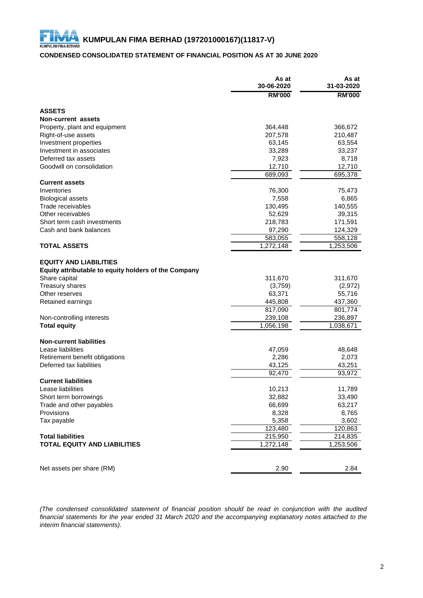# **CONDENSED CONSOLIDATED STATEMENT OF FINANCIAL POSITION AS AT 30 JUNE 2020**

|                                                                                       | As at<br>30-06-2020  | As at<br>31-03-2020 |
|---------------------------------------------------------------------------------------|----------------------|---------------------|
|                                                                                       | <b>RM'000</b>        | <b>RM'000</b>       |
| <b>ASSETS</b>                                                                         |                      |                     |
| Non-current assets                                                                    |                      |                     |
| Property, plant and equipment                                                         | 364,448              | 366,672             |
| Right-of-use assets                                                                   | 207,578              | 210,487             |
| Investment properties                                                                 | 63,145               | 63,554              |
| Investment in associates                                                              | 33,289               | 33,237              |
| Deferred tax assets                                                                   | 7,923                | 8,718               |
| Goodwill on consolidation                                                             | 12,710               | 12,710              |
|                                                                                       | 689,093              | 695,378             |
| <b>Current assets</b>                                                                 |                      |                     |
| Inventories                                                                           | 76,300               | 75,473              |
| <b>Biological assets</b>                                                              | 7,558                | 6,865               |
| Trade receivables                                                                     | 130,495              | 140,555             |
| Other receivables                                                                     | 52,629               | 39,315              |
| Short term cash investments                                                           | 218,783              | 171,591             |
| Cash and bank balances                                                                | 97,290               | 124,329             |
|                                                                                       | $\overline{583,055}$ | 558,128             |
| <b>TOTAL ASSETS</b>                                                                   | 1,272,148            | 1,253,506           |
| <b>EQUITY AND LIABILITIES</b><br>Equity attributable to equity holders of the Company |                      |                     |
| Share capital                                                                         | 311,670              | 311,670             |
| <b>Treasury shares</b>                                                                | (3,759)              | (2, 972)            |
| Other reserves                                                                        | 63,371               | 55,716              |
| Retained earnings                                                                     | 445,808              | 437,360             |
|                                                                                       | 817,090              | 801,774             |
| Non-controlling interests                                                             | 239,108              | 236,897             |
| <b>Total equity</b>                                                                   | 1,056,198            | 1,038,671           |
| <b>Non-current liabilities</b>                                                        |                      |                     |
| Lease liabilities                                                                     | 47,059               | 48,648              |
| Retirement benefit obligations                                                        | 2,286                | 2,073               |
| Deferred tax liabilities                                                              | 43,125               | 43,251              |
|                                                                                       | 92,470               | 93,972              |
| <b>Current liabilities</b>                                                            |                      |                     |
| Lease liabilities                                                                     | 10,213               | 11,789              |
| Short term borrowings                                                                 | 32,882               | 33,490              |
| Trade and other payables                                                              | 66,699               | 63,217              |
| Provisions                                                                            | 8,328                | 8,765               |
| Tax payable                                                                           | 5,358                | 3,602               |
|                                                                                       | 123,480              | 120,863             |
| <b>Total liabilities</b>                                                              | 215,950              | 214,835             |
| <b>TOTAL EQUITY AND LIABILITIES</b>                                                   | 1,272,148            | 1,253,506           |
|                                                                                       |                      |                     |
| Net assets per share (RM)                                                             | 2.90                 | 2.84                |

*(The condensed consolidated statement of financial position should be read in conjunction with the audited* financial statements for the year ended 31 March 2020 and the accompanying explanatory notes attached to the *interim financial statements).*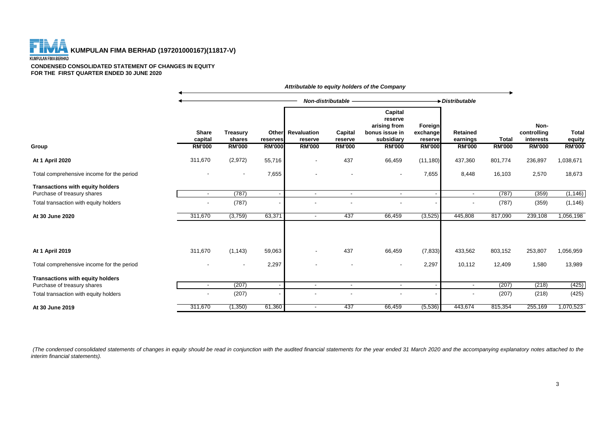**THE REAL PROPERTY AND ASSESSED ASSESSED AT A RUMPULAN FIMA BERHAD (197201000167)(11817-V)** 

#### **CONDENSED CONSOLIDATED STATEMENT OF CHANGES IN EQUITY FOR THE FIRST QUARTER ENDED 30 JUNE 2020**

|                                                                        |                                          |                                     |                           |                                               |                                     | Attributable to equity holders of the Company                                       |                                                 |                                       |                               |                                                   |                                         |
|------------------------------------------------------------------------|------------------------------------------|-------------------------------------|---------------------------|-----------------------------------------------|-------------------------------------|-------------------------------------------------------------------------------------|-------------------------------------------------|---------------------------------------|-------------------------------|---------------------------------------------------|-----------------------------------------|
|                                                                        |                                          |                                     |                           |                                               | Non-distributable                   |                                                                                     |                                                 | Distributable                         |                               |                                                   |                                         |
|                                                                        | <b>Share</b><br>capital<br><b>RM'000</b> | Treasury<br>shares<br><b>RM'000</b> | reserves<br><b>RM'000</b> | Other Revaluation<br>reserve<br><b>RM'000</b> | Capital<br>reserve<br><b>RM'000</b> | Capital<br>reserve<br>arising from<br>bonus issue in<br>subsidiary<br><b>RM'000</b> | Foreign<br>exchange<br>reserve<br><b>RM'000</b> | Retained<br>earnings<br><b>RM'000</b> | <b>Total</b><br><b>RM'000</b> | Non-<br>controlling<br>interests<br><b>RM'000</b> | <b>Total</b><br>equity<br><b>RM'000</b> |
| Group                                                                  |                                          |                                     |                           |                                               |                                     |                                                                                     |                                                 |                                       |                               |                                                   |                                         |
| At 1 April 2020                                                        | 311,670                                  | (2,972)                             | 55,716                    | $\overline{\phantom{a}}$                      | 437                                 | 66,459                                                                              | (11, 180)                                       | 437,360                               | 801,774                       | 236,897                                           | 1,038,671                               |
| Total comprehensive income for the period                              |                                          | $\overline{\phantom{a}}$            | 7,655                     | $\blacksquare$                                |                                     | $\blacksquare$                                                                      | 7,655                                           | 8,448                                 | 16,103                        | 2,570                                             | 18,673                                  |
| <b>Transactions with equity holders</b>                                |                                          |                                     |                           |                                               |                                     |                                                                                     |                                                 |                                       |                               |                                                   |                                         |
| Purchase of treasury shares                                            | $\overline{\phantom{a}}$                 | (787)                               |                           | $\sim$                                        | $\blacksquare$                      | $\sim$                                                                              |                                                 | $\overline{\phantom{a}}$              | (787)                         | (359)                                             | (1, 146)                                |
| Total transaction with equity holders                                  |                                          | (787)                               |                           |                                               |                                     |                                                                                     |                                                 | $\overline{\phantom{a}}$              | (787)                         | (359)                                             | (1, 146)                                |
| At 30 June 2020                                                        | 311,670                                  | (3,759)                             | 63,371                    | $\sim$                                        | 437                                 | 66,459                                                                              | (3, 525)                                        | 445,808                               | 817,090                       | 239,108                                           | 1,056,198                               |
| At 1 April 2019                                                        | 311,670                                  | (1, 143)                            | 59,063                    | $\overline{\phantom{a}}$                      | 437                                 | 66,459                                                                              | (7, 833)                                        | 433,562                               | 803,152                       | 253,807                                           | 1,056,959                               |
| Total comprehensive income for the period                              |                                          | $\blacksquare$                      | 2,297                     |                                               |                                     | $\overline{\phantom{a}}$                                                            | 2,297                                           | 10,112                                | 12,409                        | 1,580                                             | 13,989                                  |
| <b>Transactions with equity holders</b><br>Purchase of treasury shares | $\blacksquare$                           | (207)                               |                           | $\sim$                                        | $\overline{\phantom{a}}$            | $\blacksquare$                                                                      |                                                 | $\blacksquare$                        | (207)                         | (218)                                             | (425)                                   |
| Total transaction with equity holders                                  |                                          | (207)                               |                           |                                               |                                     |                                                                                     |                                                 |                                       | (207)                         | (218)                                             | (425)                                   |
| At 30 June 2019                                                        | 311,670                                  | (1,350)                             | 61,360                    | $\sim$                                        | 437                                 | 66,459                                                                              | (5, 536)                                        | 443,674                               | 815,354                       | 255,169                                           | 1,070,523                               |

(The condensed consolidated statements of changes in equity should be read in conjunction with the audited financial statements for the year ended 31 March 2020 and the accompanying explanatory notes attached to the *interim financial statements).*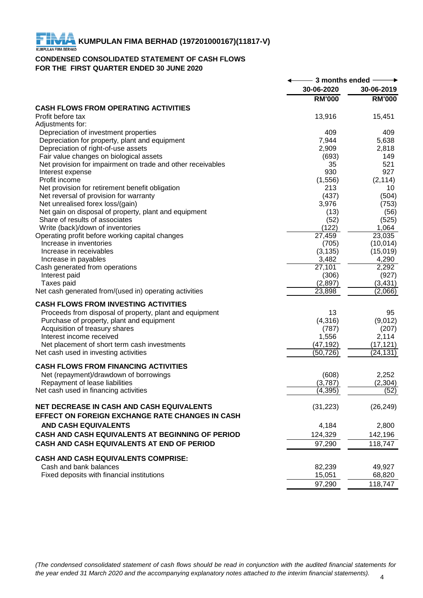# **CONDENSED CONSOLIDATED STATEMENT OF CASH FLOWS FOR THE FIRST QUARTER ENDED 30 JUNE 2020**

|                                                                                         | 3 months ended |               |
|-----------------------------------------------------------------------------------------|----------------|---------------|
|                                                                                         | 30-06-2020     | 30-06-2019    |
|                                                                                         | <b>RM'000</b>  | <b>RM'000</b> |
| <b>CASH FLOWS FROM OPERATING ACTIVITIES</b>                                             |                |               |
| Profit before tax<br>Adjustments for:                                                   | 13,916         | 15,451        |
| Depreciation of investment properties                                                   | 409            | 409           |
| Depreciation for property, plant and equipment                                          | 7,944          | 5,638         |
| Depreciation of right-of-use assets                                                     | 2,909          | 2,818         |
| Fair value changes on biological assets                                                 | (693)          | 149           |
| Net provision for impairment on trade and other receivables                             | 35             | 521           |
| Interest expense                                                                        | 930            | 927           |
| Profit income                                                                           | (1,556)        | (2, 114)      |
| Net provision for retirement benefit obligation                                         | 213            | 10            |
| Net reversal of provision for warranty                                                  | (437)          | (504)         |
| Net unrealised forex loss/(gain)                                                        | 3,976          | (753)         |
| Net gain on disposal of property, plant and equipment<br>Share of results of associates | (13)<br>(52)   | (56)<br>(525) |
| Write (back)/down of inventories                                                        | (122)          | 1,064         |
| Operating profit before working capital changes                                         | 27,459         | 23,035        |
| Increase in inventories                                                                 | (705)          | (10, 014)     |
| Increase in receivables                                                                 | (3, 135)       | (15,019)      |
| Increase in payables                                                                    | 3,482          | 4,290         |
| Cash generated from operations                                                          | 27,101         | 2,292         |
| Interest paid                                                                           | (306)          | (927)         |
| Taxes paid                                                                              | (2,897)        | (3, 431)      |
| Net cash generated from/(used in) operating activities                                  | 23,898         | (2,066)       |
| <b>CASH FLOWS FROM INVESTING ACTIVITIES</b>                                             |                |               |
| Proceeds from disposal of property, plant and equipment                                 | 13             | 95            |
| Purchase of property, plant and equipment                                               | (4,316)        | (9,012)       |
| Acquisition of treasury shares                                                          | (787)          | (207)         |
| Interest income received                                                                | 1,556          | 2,114         |
| Net placement of short term cash investments                                            | (47, 192)      | (17, 121)     |
| Net cash used in investing activities                                                   | (50, 726)      | (24, 131)     |
| <b>CASH FLOWS FROM FINANCING ACTIVITIES</b>                                             |                |               |
| Net (repayment)/drawdown of borrowings                                                  | (608)          | 2,252         |
| Repayment of lease liabilities                                                          | (3,787)        | (2, 304)      |
| Net cash used in financing activities                                                   | (4, 395)       | (52)          |
| <b>NET DECREASE IN CASH AND CASH EQUIVALENTS</b>                                        | (31, 223)      | (26, 249)     |
| EFFECT ON FOREIGN EXCHANGE RATE CHANGES IN CASH                                         |                |               |
| <b>AND CASH EQUIVALENTS</b>                                                             | 4,184          | 2,800         |
| CASH AND CASH EQUIVALENTS AT BEGINNING OF PERIOD                                        | 124,329        | 142,196       |
| CASH AND CASH EQUIVALENTS AT END OF PERIOD                                              | 97,290         | 118,747       |
| <b>CASH AND CASH EQUIVALENTS COMPRISE:</b>                                              |                |               |
| Cash and bank balances                                                                  | 82,239         | 49,927        |
| Fixed deposits with financial institutions                                              | 15,051         | 68,820        |
|                                                                                         | 97,290         | 118,747       |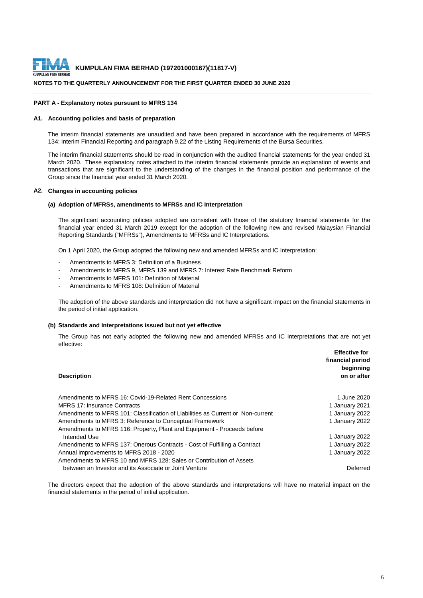

#### **NOTES TO THE QUARTERLY ANNOUNCEMENT FOR THE FIRST QUARTER ENDED 30 JUNE 2020**

#### **PART A - Explanatory notes pursuant to MFRS 134**

#### **A1. Accounting policies and basis of preparation**

The interim financial statements are unaudited and have been prepared in accordance with the requirements of MFRS 134: Interim Financial Reporting and paragraph 9.22 of the Listing Requirements of the Bursa Securities.

The interim financial statements should be read in conjunction with the audited financial statements for the year ended 31 March 2020. These explanatory notes attached to the interim financial statements provide an explanation of events and transactions that are significant to the understanding of the changes in the financial position and performance of the Group since the financial year ended 31 March 2020.

#### **A2. Changes in accounting policies**

#### **(a) Adoption of MFRSs, amendments to MFRSs and IC Interpretation**

The significant accounting policies adopted are consistent with those of the statutory financial statements for the financial year ended 31 March 2019 except for the adoption of the following new and revised Malaysian Financial Reporting Standards ("MFRSs"), Amendments to MFRSs and IC Interpretations.

On 1 April 2020, the Group adopted the following new and amended MFRSs and IC Interpretation:

- Amendments to MFRS 3: Definition of a Business
- Amendments to MFRS 9, MFRS 139 and MFRS 7: Interest Rate Benchmark Reform
- Amendments to MFRS 101: Definition of Material
- Amendments to MFRS 108: Definition of Material

The adoption of the above standards and interpretation did not have a significant impact on the financial statements in the period of initial application.

#### **(b) Standards and Interpretations issued but not yet effective**

The Group has not early adopted the following new and amended MFRSs and IC Interpretations that are not yet effective:

| <b>Description</b>                                                              | <b>Effective for</b><br>financial period<br>beginning<br>on or after |
|---------------------------------------------------------------------------------|----------------------------------------------------------------------|
| Amendments to MFRS 16: Covid-19-Related Rent Concessions                        | 1 June 2020                                                          |
| MFRS 17: Insurance Contracts                                                    | 1 January 2021                                                       |
| Amendments to MFRS 101: Classification of Liabilities as Current or Non-current | 1 January 2022                                                       |
| Amendments to MFRS 3: Reference to Conceptual Framework                         | 1 January 2022                                                       |
| Amendments to MFRS 116: Property, Plant and Equipment - Proceeds before         |                                                                      |
| Intended Use                                                                    | 1 January 2022                                                       |
| Amendments to MFRS 137: Onerous Contracts - Cost of Fulfilling a Contract       | 1 January 2022                                                       |
| Annual improvements to MFRS 2018 - 2020                                         | 1 January 2022                                                       |
| Amendments to MFRS 10 and MFRS 128: Sales or Contribution of Assets             |                                                                      |
| between an Investor and its Associate or Joint Venture                          | Deferred                                                             |

The directors expect that the adoption of the above standards and interpretations will have no material impact on the financial statements in the period of initial application.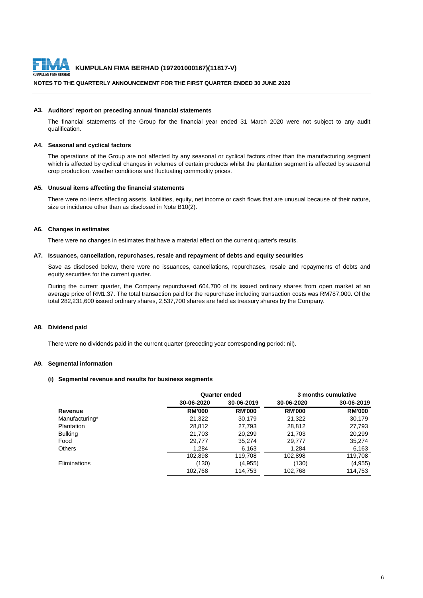

# **NOTES TO THE QUARTERLY ANNOUNCEMENT FOR THE FIRST QUARTER ENDED 30 JUNE 2020**

#### **A3. Auditors' report on preceding annual financial statements**

The financial statements of the Group for the financial year ended 31 March 2020 were not subject to any audit qualification.

#### **A4. Seasonal and cyclical factors**

The operations of the Group are not affected by any seasonal or cyclical factors other than the manufacturing segment which is affected by cyclical changes in volumes of certain products whilst the plantation segment is affected by seasonal crop production, weather conditions and fluctuating commodity prices.

#### **A5. Unusual items affecting the financial statements**

There were no items affecting assets, liabilities, equity, net income or cash flows that are unusual because of their nature, size or incidence other than as disclosed in Note B10(2).

#### **A6. Changes in estimates**

There were no changes in estimates that have a material effect on the current quarter's results.

#### **A7. Issuances, cancellation, repurchases, resale and repayment of debts and equity securities**

Save as disclosed below, there were no issuances, cancellations, repurchases, resale and repayments of debts and equity securities for the current quarter.

During the current quarter, the Company repurchased 604,700 of its issued ordinary shares from open market at an average price of RM1.37. The total transaction paid for the repurchase including transaction costs was RM787,000. Of the total 282,231,600 issued ordinary shares, 2,537,700 shares are held as treasury shares by the Company.

#### **A8. Dividend paid**

There were no dividends paid in the current quarter (preceding year corresponding period: nil).

#### **A9. Segmental information**

#### **(i) Segmental revenue and results for business segments**

|                   |               | <b>Quarter ended</b> |               | 3 months cumulative |
|-------------------|---------------|----------------------|---------------|---------------------|
|                   | 30-06-2020    | 30-06-2019           | 30-06-2020    | 30-06-2019          |
| Revenue           | <b>RM'000</b> | <b>RM'000</b>        | <b>RM'000</b> | <b>RM'000</b>       |
| Manufacturing*    | 21,322        | 30.179               | 21.322        | 30,179              |
| <b>Plantation</b> | 28,812        | 27,793               | 28.812        | 27,793              |
| <b>Bulking</b>    | 21,703        | 20,299               | 21.703        | 20,299              |
| Food              | 29.777        | 35.274               | 29.777        | 35,274              |
| <b>Others</b>     | 1.284         | 6,163                | 1.284         | 6,163               |
|                   | 102,898       | 119,708              | 102,898       | 119,708             |
| Eliminations      | (130)         | (4,955)              | (130)         | (4,955)             |
|                   | 102,768       | 114,753              | 102,768       | 114,753             |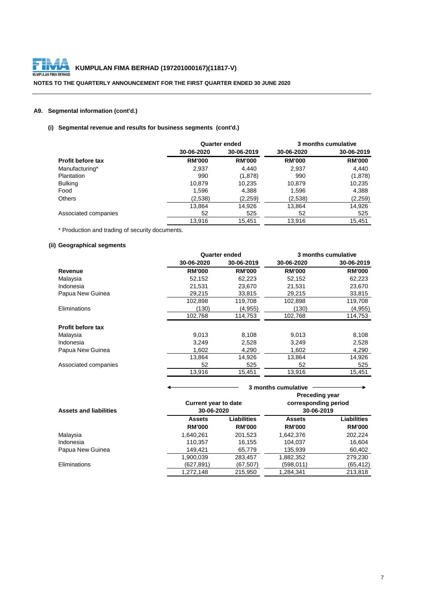

# **NOTES TO THE QUARTERLY ANNOUNCEMENT FOR THE FIRST QUARTER ENDED 30 JUNE 2020**

# **A9. Segmental information (cont'd.)**

# **(i) Segmental revenue and results for business segments (cont'd.)**

|                          |               | <b>Quarter ended</b> |               | 3 months cumulative |
|--------------------------|---------------|----------------------|---------------|---------------------|
|                          | 30-06-2020    | 30-06-2019           | 30-06-2020    | 30-06-2019          |
| <b>Profit before tax</b> | <b>RM'000</b> | <b>RM'000</b>        | <b>RM'000</b> | <b>RM'000</b>       |
| Manufacturing*           | 2,937         | 4.440                | 2,937         | 4,440               |
| <b>Plantation</b>        | 990           | (1,878)              | 990           | (1,878)             |
| <b>Bulking</b>           | 10,879        | 10,235               | 10.879        | 10,235              |
| Food                     | 1,596         | 4,388                | 1,596         | 4,388               |
| <b>Others</b>            | (2,538)       | (2,259)              | (2,538)       | (2, 259)            |
|                          | 13,864        | 14,926               | 13.864        | 14,926              |
| Associated companies     | 52            | 525                  | 52            | 525                 |
|                          | 13.916        | 15.451               | 13.916        | 15.451              |

\* Production and trading of security documents.

#### **(ii) Geographical segments**

|                          |               | <b>Quarter ended</b> | 3 months cumulative |               |  |
|--------------------------|---------------|----------------------|---------------------|---------------|--|
|                          | 30-06-2020    | 30-06-2019           | 30-06-2020          | 30-06-2019    |  |
| Revenue                  | <b>RM'000</b> | <b>RM'000</b>        | <b>RM'000</b>       | <b>RM'000</b> |  |
| Malaysia                 | 52,152        | 62,223               | 52,152              | 62,223        |  |
| Indonesia                | 21,531        | 23,670               | 21,531              | 23,670        |  |
| Papua New Guinea         | 29,215        | 33,815               | 29,215              | 33,815        |  |
|                          | 102,898       | 119,708              | 102,898             | 119,708       |  |
| Eliminations             | (130)         | (4,955)              | (130)               | (4,955)       |  |
|                          | 102,768       | 114,753              | 102,768             | 114,753       |  |
| <b>Profit before tax</b> |               |                      |                     |               |  |
| Malaysia                 | 9,013         | 8,108                | 9,013               | 8,108         |  |
| Indonesia                | 3.249         | 2,528                | 3,249               | 2,528         |  |
| Papua New Guinea         | 1,602         | 4,290                | 1,602               | 4,290         |  |
|                          | 13,864        | 14,926               | 13,864              | 14,926        |  |
| Associated companies     | 52            | 525                  | 52                  | 525           |  |
|                          | 13,916        | 15,451               | 13,916              | 15,451        |  |

|                               |                                           | 3 months cumulative                 |                                                             |                              |  |
|-------------------------------|-------------------------------------------|-------------------------------------|-------------------------------------------------------------|------------------------------|--|
| <b>Assets and liabilities</b> | <b>Current year to date</b><br>30-06-2020 |                                     | <b>Preceding year</b><br>corresponding period<br>30-06-2019 |                              |  |
|                               | <b>Assets</b><br><b>RM'000</b>            | <b>Liabilities</b><br><b>RM'000</b> | <b>Assets</b><br><b>RM'000</b>                              | Liabilities<br><b>RM'000</b> |  |
| Malaysia                      | 1,640,261                                 | 201,523                             | 1.642.376                                                   | 202,224                      |  |
| Indonesia                     | 110,357                                   | 16,155                              | 104.037                                                     | 16,604                       |  |
| Papua New Guinea              | 149.421                                   | 65,779                              | 135,939                                                     | 60,402                       |  |
|                               | 1,900,039                                 | 283,457                             | 1,882,352                                                   | 279,230                      |  |
| <b>Eliminations</b>           | (627,891)                                 | (67, 507)                           | (598,011)                                                   | (65, 412)                    |  |
|                               | 1,272,148                                 | 215,950                             | 1,284,341                                                   | 213,818                      |  |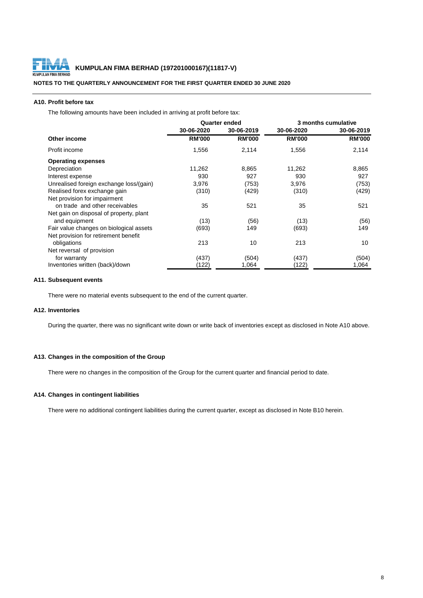

#### **NOTES TO THE QUARTERLY ANNOUNCEMENT FOR THE FIRST QUARTER ENDED 30 JUNE 2020**

#### **A10. Profit before tax**

The following amounts have been included in arriving at profit before tax:

|                                         |               | <b>Quarter ended</b> | 3 months cumulative |               |  |
|-----------------------------------------|---------------|----------------------|---------------------|---------------|--|
|                                         | 30-06-2020    | 30-06-2019           | 30-06-2020          | 30-06-2019    |  |
| Other income                            | <b>RM'000</b> | <b>RM'000</b>        | <b>RM'000</b>       | <b>RM'000</b> |  |
| Profit income                           | 1,556         | 2,114                | 1,556               | 2,114         |  |
| <b>Operating expenses</b>               |               |                      |                     |               |  |
| Depreciation                            | 11,262        | 8,865                | 11,262              | 8,865         |  |
| Interest expense                        | 930           | 927                  | 930                 | 927           |  |
| Unrealised foreign exchange loss/(gain) | 3,976         | (753)                | 3,976               | (753)         |  |
| Realised forex exchange gain            | (310)         | (429)                | (310)               | (429)         |  |
| Net provision for impairment            |               |                      |                     |               |  |
| on trade and other receivables          | 35            | 521                  | 35                  | 521           |  |
| Net gain on disposal of property, plant |               |                      |                     |               |  |
| and equipment                           | (13)          | (56)                 | (13)                | (56)          |  |
| Fair value changes on biological assets | (693)         | 149                  | (693)               | 149           |  |
| Net provision for retirement benefit    |               |                      |                     |               |  |
| obligations                             | 213           | 10                   | 213                 | 10            |  |
| Net reversal of provision               |               |                      |                     |               |  |
| for warranty                            | (437)         | (504)                | (437)               | (504)         |  |
| Inventories written (back)/down         | (122)         | 1,064                | (122)               | 1,064         |  |

#### **A11. Subsequent events**

There were no material events subsequent to the end of the current quarter.

#### **A12. Inventories**

During the quarter, there was no significant write down or write back of inventories except as disclosed in Note A10 above.

#### **A13. Changes in the composition of the Group**

There were no changes in the composition of the Group for the current quarter and financial period to date.

#### **A14. Changes in contingent liabilities**

There were no additional contingent liabilities during the current quarter, except as disclosed in Note B10 herein.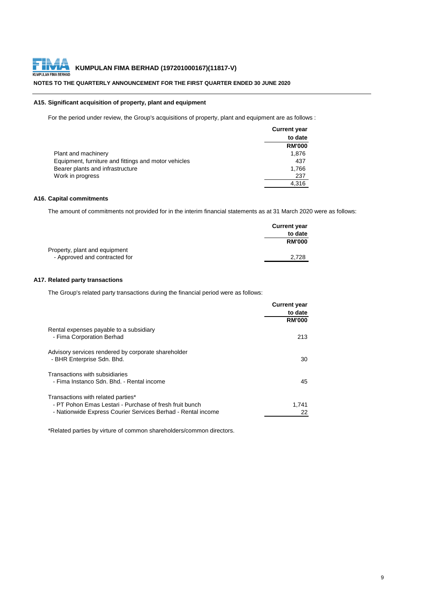

# **NOTES TO THE QUARTERLY ANNOUNCEMENT FOR THE FIRST QUARTER ENDED 30 JUNE 2020**

# **A15. Significant acquisition of property, plant and equipment**

For the period under review, the Group's acquisitions of property, plant and equipment are as follows :

| <b>Current year</b> |
|---------------------|
| to date             |
| <b>RM'000</b>       |
| 1.876               |
| 437                 |
| 1,766               |
| 237                 |
| 4.316               |
|                     |

# **A16. Capital commitments**

The amount of commitments not provided for in the interim financial statements as at 31 March 2020 were as follows:

|                               | <b>Current year</b> |
|-------------------------------|---------------------|
|                               | to date             |
|                               | <b>RM'000</b>       |
| Property, plant and equipment |                     |
| - Approved and contracted for | 2.728               |

# **A17. Related party transactions**

The Group's related party transactions during the financial period were as follows:

| <b>Current year</b> |
|---------------------|
| to date             |
| <b>RM'000</b>       |
|                     |
| 213                 |
|                     |
| 30                  |
|                     |
| 45                  |
|                     |
| 1,741               |
| 22                  |
|                     |

\*Related parties by virture of common shareholders/common directors.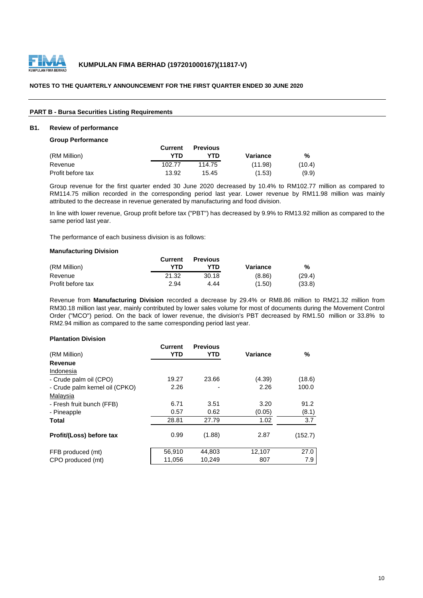

# **PART B - Bursa Securities Listing Requirements**

### **B1. Review of performance**

#### **Group Performance**

|                   | <b>Current</b> | <b>Previous</b> |          |        |
|-------------------|----------------|-----------------|----------|--------|
| (RM Million)      | YTD            | YTD             | Variance | %      |
| Revenue           | 102.77         | 114.75          | (11.98)  | (10.4) |
| Profit before tax | 13.92          | 15.45           | (1.53)   | (9.9)  |

Group revenue for the first quarter ended 30 June 2020 decreased by 10.4% to RM102.77 million as compared to RM114.75 million recorded in the corresponding period last year. Lower revenue by RM11.98 million was mainly attributed to the decrease in revenue generated by manufacturing and food division.

In line with lower revenue, Group profit before tax ("PBT") has decreased by 9.9% to RM13.92 million as compared to the same period last year.

The performance of each business division is as follows:

#### **Manufacturing Division**

|                   | Current | <b>Previous</b> |          |        |
|-------------------|---------|-----------------|----------|--------|
| (RM Million)      | YTN     | YTD             | Variance | %      |
| Revenue           | 21.32   | 30.18           | (8.86)   | (29.4) |
| Profit before tax | 2.94    | 4.44            | (1.50)   | (33.8) |

Revenue from **Manufacturing Division** recorded a decrease by 29.4% or RM8.86 million to RM21.32 million from RM30.18 million last year, mainly contributed by lower sales volume for most of documents during the Movement Control Order ("MCO") period. On the back of lower revenue, the division's PBT decreased by RM1.50 million or 33.8% to RM2.94 million as compared to the same corresponding period last year.

#### **Plantation Division**

|                                | <b>Current</b> | <b>Previous</b> |          |         |
|--------------------------------|----------------|-----------------|----------|---------|
| (RM Million)                   | <b>YTD</b>     | YTD             | Variance | %       |
| Revenue                        |                |                 |          |         |
| Indonesia                      |                |                 |          |         |
| - Crude palm oil (CPO)         | 19.27          | 23.66           | (4.39)   | (18.6)  |
| - Crude palm kernel oil (CPKO) | 2.26           |                 | 2.26     | 100.0   |
| Malaysia                       |                |                 |          |         |
| - Fresh fruit bunch (FFB)      | 6.71           | 3.51            | 3.20     | 91.2    |
| - Pineapple                    | 0.57           | 0.62            | (0.05)   | (8.1)   |
| <b>Total</b>                   | 28.81          | 27.79           | 1.02     | 3.7     |
| Profit/(Loss) before tax       | 0.99           | (1.88)          | 2.87     | (152.7) |
| FFB produced (mt)              | 56,910         | 44.803          | 12.107   | 27.0    |
| CPO produced (mt)              | 11,056         | 10,249          | 807      | 7.9     |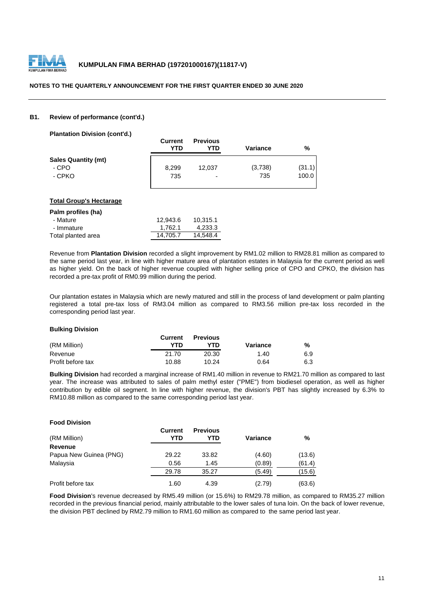

#### **B1. Review of performance (cont'd.)**

**Plantation Division (cont'd.)**

|                            | <b>Current</b><br>YTD | <b>Previous</b><br>YTD | <b>Variance</b> | %      |
|----------------------------|-----------------------|------------------------|-----------------|--------|
| <b>Sales Quantity (mt)</b> |                       |                        |                 |        |
| - CPO                      | 8.299                 | 12.037                 | (3,738)         | (31.1) |
| - CPKO                     | 735                   | ٠                      | 735             | 100.0  |

#### **Total Group's Hectarage**

| Palm profiles (ha) |          |          |
|--------------------|----------|----------|
| - Mature           | 12.943.6 | 10.315.1 |
| - Immature         | 1.762.1  | 4.233.3  |
| Total planted area | 14.705.7 | 14.548.4 |

Revenue from **Plantation Division** recorded a slight improvement by RM1.02 million to RM28.81 million as compared to the same period last year, in line with higher mature area of plantation estates in Malaysia for the current period as well as higher yield. On the back of higher revenue coupled with higher selling price of CPO and CPKO, the division has recorded a pre-tax profit of RM0.99 million during the period.

Our plantation estates in Malaysia which are newly matured and still in the process of land development or palm planting registered a total pre-tax loss of RM3.04 million as compared to RM3.56 million pre-tax loss recorded in the corresponding period last year.

#### **Bulking Division**

|                   | <b>Current</b> | <b>Previous</b> |          |     |
|-------------------|----------------|-----------------|----------|-----|
| (RM Million)      | YTN            | YTD             | Variance | %   |
| Revenue           | 21.70          | 20.30           | 1.40     | 6.9 |
| Profit before tax | 10.88          | 10.24           | 0.64     | 6.3 |

**Bulking Division** had recorded a marginal increase of RM1.40 million in revenue to RM21.70 million as compared to last year. The increase was attributed to sales of palm methyl ester ("PME") from biodiesel operation, as well as higher contribution by edible oil segment. In line with higher revenue, the division's PBT has slightly increased by 6.3% to RM10.88 million as compared to the same corresponding period last year.

| <b>Food Division</b>   |                |                        |          |        |
|------------------------|----------------|------------------------|----------|--------|
| (RM Million)           | Current<br>YTD | <b>Previous</b><br>YTD | Variance | %      |
| <b>Revenue</b>         |                |                        |          |        |
| Papua New Guinea (PNG) | 29.22          | 33.82                  | (4.60)   | (13.6) |
| Malaysia               | 0.56           | 1.45                   | (0.89)   | (61.4) |
|                        | 29.78          | 35.27                  | (5.49)   | (15.6) |
| Profit before tax      | 1.60           | 4.39                   | (2.79)   | (63.6) |

**Food Division**'s revenue decreased by RM5.49 million (or 15.6%) to RM29.78 million, as compared to RM35.27 million recorded in the previous financial period, mainly attributable to the lower sales of tuna loin. On the back of lower revenue, the division PBT declined by RM2.79 million to RM1.60 million as compared to the same period last year.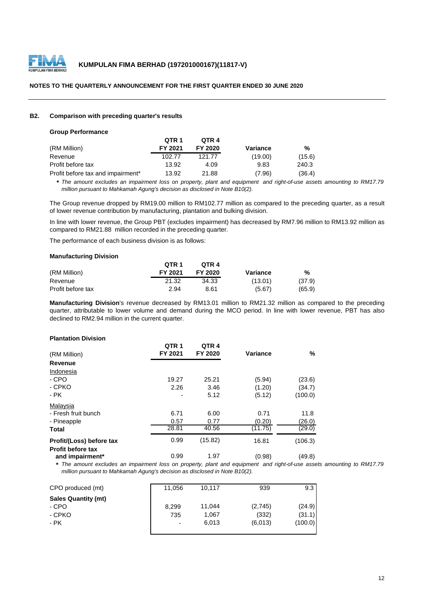

### **B2. Comparison with preceding quarter's results**

#### **Group Performance**

|                                   | QTR 1   | OTR 4   |          |        |
|-----------------------------------|---------|---------|----------|--------|
| (RM Million)                      | FY 2021 | FY 2020 | Variance | %      |
| Revenue                           | 102.77  | 121.77  | (19.00)  | (15.6) |
| Profit before tax                 | 13.92   | 4.09    | 9.83     | 240.3  |
| Profit before tax and impairment* | 13.92   | 21.88   | (7.96)   | (36.4) |

\* The amount excludes an impairment loss on property, plant and equipment and right-of-use assets amounting to RM17.79 *million pursuant to Mahkamah Agung's decision as disclosed in Note B10(2).*

The Group revenue dropped by RM19.00 million to RM102.77 million as compared to the preceding quarter, as a result of lower revenue contribution by manufacturing, plantation and bulking division.

In line with lower revenue, the Group PBT (excludes impairment) has decreased by RM7.96 million to RM13.92 million as compared to RM21.88 million recorded in the preceding quarter.

The performance of each business division is as follows:

#### **Manufacturing Division**

|                   | OTR <sub>1</sub> | OTR <sub>4</sub> |          |        |
|-------------------|------------------|------------------|----------|--------|
| (RM Million)      | FY 2021          | FY 2020          | Variance | %      |
| Revenue           | 21.32            | 34.33            | (13.01)  | (37.9) |
| Profit before tax | 2.94             | 8.61             | (5.67)   | (65.9) |

**Manufacturing Division**'s revenue decreased by RM13.01 million to RM21.32 million as compared to the preceding quarter, attributable to lower volume and demand during the MCO period. In line with lower revenue, PBT has also declined to RM2.94 million in the current quarter.

#### **Plantation Division**

| (RM Million)                                         | QTR <sub>1</sub><br>FY 2021 | QTR <sub>4</sub><br>FY 2020 | Variance | %       |
|------------------------------------------------------|-----------------------------|-----------------------------|----------|---------|
| Revenue                                              |                             |                             |          |         |
| Indonesia                                            |                             |                             |          |         |
| - CPO                                                | 19.27                       | 25.21                       | (5.94)   | (23.6)  |
| - CPKO                                               | 2.26                        | 3.46                        | (1.20)   | (34.7)  |
| - PK                                                 | ۰                           | 5.12                        | (5.12)   | (100.0) |
| Malaysia                                             |                             |                             |          |         |
| - Fresh fruit bunch                                  | 6.71                        | 6.00                        | 0.71     | 11.8    |
| - Pineapple                                          | 0.57                        | 0.77                        | (0.20)   | (26.0)  |
| <b>Total</b>                                         | 28.81                       | 40.56                       | (11.75)  | (29.0)  |
| Profit/(Loss) before tax<br><b>Profit before tax</b> | 0.99                        | (15.82)                     | 16.81    | (106.3) |
| and impairment*                                      | 0.99                        | 1.97                        | (0.98)   | (49.8)  |

\* The amount excludes an impairment loss on property, plant and equipment and right-of-use assets amounting to RM17.79 *million pursuant to Mahkamah Agung's decision as disclosed in Note B10(2).*

| CPO produced (mt)          | 11,056                   | 10.117 | 939              | 9.3              |
|----------------------------|--------------------------|--------|------------------|------------------|
| <b>Sales Quantity (mt)</b> |                          | 11.044 |                  |                  |
| - CPO<br>- CPKO            | 8.299<br>735             | 1.067  | (2,745)<br>(332) | (24.9)<br>(31.1) |
| - PK                       | $\overline{\phantom{a}}$ | 6.013  | (6.013)          | (100.0)          |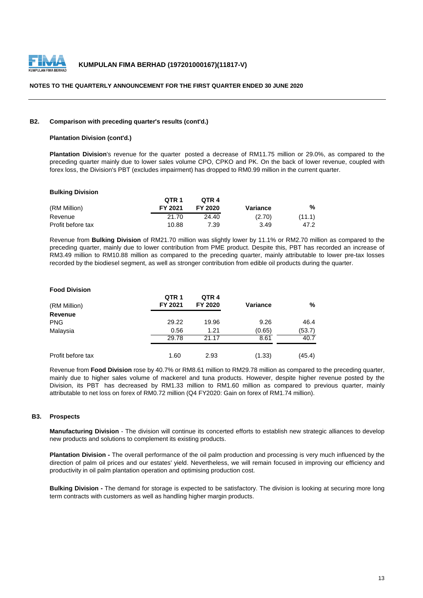

#### **B2. Comparison with preceding quarter's results (cont'd.)**

#### **Plantation Division (cont'd.)**

**Plantation Division**'s revenue for the quarter posted a decrease of RM11.75 million or 29.0%, as compared to the preceding quarter mainly due to lower sales volume CPO, CPKO and PK. On the back of lower revenue, coupled with forex loss, the Division's PBT (excludes impairment) has dropped to RM0.99 million in the current quarter.

#### **Bulking Division**

|                   | OTR <sub>1</sub> | OTR <sub>4</sub> |          |        |
|-------------------|------------------|------------------|----------|--------|
| (RM Million)      | FY 2021          | FY 2020          | Variance | %      |
| Revenue           | 21.70            | 24.40            | (2.70)   | (11.1) |
| Profit before tax | 10.88            | 7.39             | 3.49     | 47.2   |

Revenue from **Bulking Division** of RM21.70 million was slightly lower by 11.1% or RM2.70 million as compared to the preceding quarter, mainly due to lower contribution from PME product. Despite this, PBT has recorded an increase of RM3.49 million to RM10.88 million as compared to the preceding quarter, mainly attributable to lower pre-tax losses recorded by the biodiesel segment, as well as stronger contribution from edible oil products during the quarter.

#### **Food Division**

| (RM Million)      | QTR <sub>1</sub><br>FY 2021 | QTR <sub>4</sub><br>FY 2020 | <b>Variance</b> | %      |
|-------------------|-----------------------------|-----------------------------|-----------------|--------|
| Revenue           |                             |                             |                 |        |
| <b>PNG</b>        | 29.22                       | 19.96                       | 9.26            | 46.4   |
| Malaysia          | 0.56                        | 1.21                        | (0.65)          | (53.7) |
|                   | 29.78                       | 21.17                       | 8.61            | 40.7   |
| Profit before tax | 1.60                        | 2.93                        | (1.33)          | (45.4) |

Revenue from **Food Division** rose by 40.7% or RM8.61 million to RM29.78 million as compared to the preceding quarter, mainly due to higher sales volume of mackerel and tuna products. However, despite higher revenue posted by the Division, its PBT has decreased by RM1.33 million to RM1.60 million as compared to previous quarter, mainly attributable to net loss on forex of RM0.72 million (Q4 FY2020: Gain on forex of RM1.74 million).

#### **B3. Prospects**

**Manufacturing Division** - The division will continue its concerted efforts to establish new strategic alliances to develop new products and solutions to complement its existing products.

**Plantation Division -** The overall performance of the oil palm production and processing is very much influenced by the direction of palm oil prices and our estates' yield. Nevertheless, we will remain focused in improving our efficiency and productivity in oil palm plantation operation and optimising production cost.

**Bulking Division -** The demand for storage is expected to be satisfactory. The division is looking at securing more long term contracts with customers as well as handling higher margin products.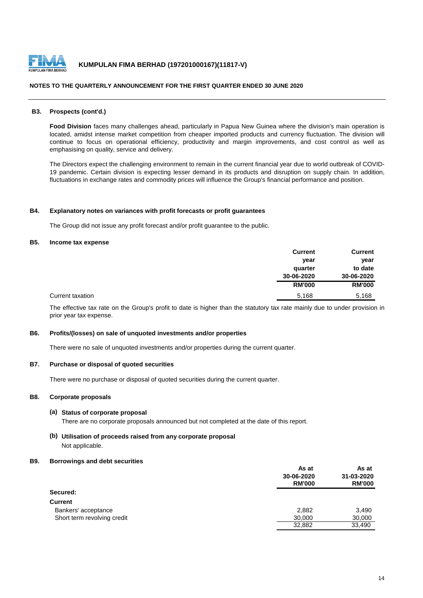

#### **NOTES TO THE QUARTERLY ANNOUNCEMENT FOR THE FIRST QUARTER ENDED 30 JUNE 2020**

#### **B3. Prospects (cont'd.)**

**Food Division** faces many challenges ahead, particularly in Papua New Guinea where the division's main operation is located, amidst intense market competition from cheaper imported products and currency fluctuation. The division will continue to focus on operational efficiency, productivity and margin improvements, and cost control as well as emphasising on quality, service and delivery.

The Directors expect the challenging environment to remain in the current financial year due to world outbreak of COVID-19 pandemic. Certain division is expecting lesser demand in its products and disruption on supply chain. In addition, fluctuations in exchange rates and commodity prices will influence the Group's financial performance and position.

#### **B4. Explanatory notes on variances with profit forecasts or profit guarantees**

The Group did not issue any profit forecast and/or profit guarantee to the public.

#### **B5. Income tax expense**

|                  | <b>Current</b> | <b>Current</b> |
|------------------|----------------|----------------|
|                  | year           | year           |
|                  | quarter        | to date        |
|                  | 30-06-2020     | 30-06-2020     |
|                  | <b>RM'000</b>  | <b>RM'000</b>  |
| Current taxation | 5,168          | 5,168          |

The effective tax rate on the Group's profit to date is higher than the statutory tax rate mainly due to under provision in prior year tax expense.

### **B6. Profits/(losses) on sale of unquoted investments and/or properties**

There were no sale of unquoted investments and/or properties during the current quarter.

#### **B7. Purchase or disposal of quoted securities**

There were no purchase or disposal of quoted securities during the current quarter.

#### **B8. Corporate proposals**

#### **(a) Status of corporate proposal**

There are no corporate proposals announced but not completed at the date of this report.

# **(b) Utilisation of proceeds raised from any corporate proposal** Not applicable.

#### **B9. Borrowings and debt securities**

|                             | As at                       | As at<br>31-03-2020 |
|-----------------------------|-----------------------------|---------------------|
|                             | 30-06-2020<br><b>RM'000</b> |                     |
|                             |                             | <b>RM'000</b>       |
| Secured:                    |                             |                     |
| <b>Current</b>              |                             |                     |
| Bankers' acceptance         | 2,882                       | 3,490               |
| Short term revolving credit | 30,000                      | 30,000              |
|                             | 32,882                      | 33.490              |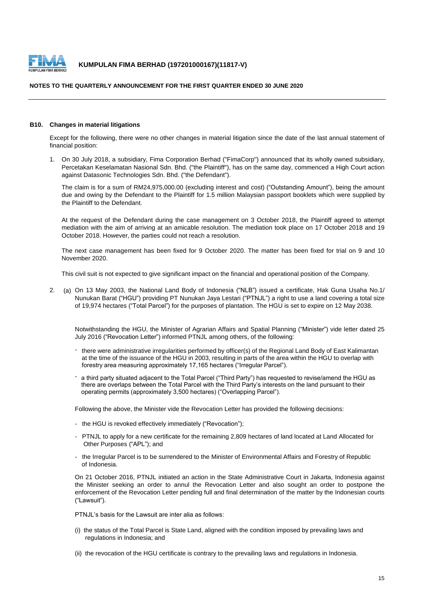

#### **NOTES TO THE QUARTERLY ANNOUNCEMENT FOR THE FIRST QUARTER ENDED 30 JUNE 2020**

#### **B10. Changes in material litigations**

Except for the following, there were no other changes in material litigation since the date of the last annual statement of financial position:

1. On 30 July 2018, a subsidiary, Fima Corporation Berhad ("FimaCorp") announced that its wholly owned subsidiary, Percetakan Keselamatan Nasional Sdn. Bhd. ("the Plaintiff"), has on the same day, commenced a High Court action against Datasonic Technologies Sdn. Bhd. ("the Defendant").

The claim is for a sum of RM24,975,000.00 (excluding interest and cost) ("Outstanding Amount"), being the amount due and owing by the Defendant to the Plaintiff for 1.5 million Malaysian passport booklets which were supplied by the Plaintiff to the Defendant.

At the request of the Defendant during the case management on 3 October 2018, the Plaintiff agreed to attempt mediation with the aim of arriving at an amicable resolution. The mediation took place on 17 October 2018 and 19 October 2018. However, the parties could not reach a resolution.

The next case management has been fixed for 9 October 2020. The matter has been fixed for trial on 9 and 10 November 2020.

This civil suit is not expected to give significant impact on the financial and operational position of the Company.

2. (a) On 13 May 2003, the National Land Body of Indonesia ("NLB") issued a certificate, Hak Guna Usaha No.1/ Nunukan Barat ("HGU") providing PT Nunukan Jaya Lestari ("PTNJL") a right to use a land covering a total size of 19,974 hectares ("Total Parcel") for the purposes of plantation. The HGU is set to expire on 12 May 2038.

Notwithstanding the HGU, the Minister of Agrarian Affairs and Spatial Planning ("Minister") vide letter dated 25 July 2016 ("Revocation Letter") informed PTNJL among others, of the following:

- there were administrative irregularities performed by officer(s) of the Regional Land Body of East Kalimantan at the time of the issuance of the HGU in 2003, resulting in parts of the area within the HGU to overlap with forestry area measuring approximately 17,165 hectares ("Irregular Parcel").
- a third party situated adjacent to the Total Parcel ("Third Party") has requested to revise/amend the HGU as there are overlaps between the Total Parcel with the Third Party's interests on the land pursuant to their operating permits (approximately 3,500 hectares) ("Overlapping Parcel").

Following the above, the Minister vide the Revocation Letter has provided the following decisions:

- the HGU is revoked effectively immediately ("Revocation");
- PTNJL to apply for a new certificate for the remaining 2,809 hectares of land located at Land Allocated for Other Purposes ("APL"); and
- the Irregular Parcel is to be surrendered to the Minister of Environmental Affairs and Forestry of Republic of Indonesia.

On 21 October 2016, PTNJL initiated an action in the State Administrative Court in Jakarta, Indonesia against the Minister seeking an order to annul the Revocation Letter and also sought an order to postpone the enforcement of the Revocation Letter pending full and final determination of the matter by the Indonesian courts ("Lawsuit").

PTNJL's basis for the Lawsuit are inter alia as follows:

- (i) the status of the Total Parcel is State Land, aligned with the condition imposed by prevailing laws and regulations in Indonesia; and
- (ii) the revocation of the HGU certificate is contrary to the prevailing laws and regulations in Indonesia.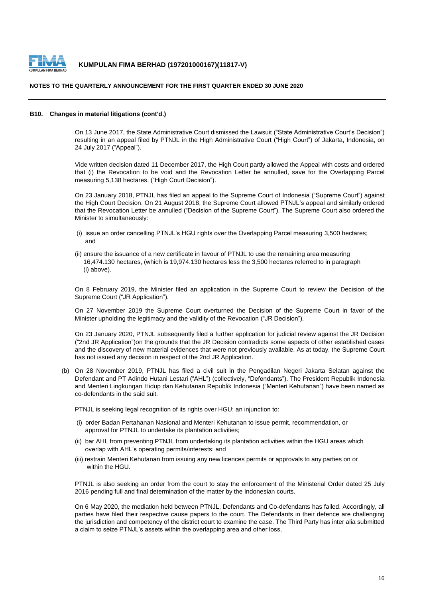

#### **NOTES TO THE QUARTERLY ANNOUNCEMENT FOR THE FIRST QUARTER ENDED 30 JUNE 2020**

#### **B10. Changes in material litigations (cont'd.)**

On 13 June 2017, the State Administrative Court dismissed the Lawsuit ("State Administrative Court's Decision") resulting in an appeal filed by PTNJL in the High Administrative Court ("High Court") of Jakarta, Indonesia, on 24 July 2017 ("Appeal").

Vide written decision dated 11 December 2017, the High Court partly allowed the Appeal with costs and ordered that (i) the Revocation to be void and the Revocation Letter be annulled, save for the Overlapping Parcel measuring 5,138 hectares. ("High Court Decision").

On 23 January 2018, PTNJL has filed an appeal to the Supreme Court of Indonesia ("Supreme Court") against the High Court Decision. On 21 August 2018, the Supreme Court allowed PTNJL's appeal and similarly ordered that the Revocation Letter be annulled ("Decision of the Supreme Court"). The Supreme Court also ordered the Minister to simultaneously:

- (i) issue an order cancelling PTNJL's HGU rights over the Overlapping Parcel measuring 3,500 hectares; and
- (ii) ensure the issuance of a new certificate in favour of PTNJL to use the remaining area measuring 16,474.130 hectares, (which is 19,974.130 hectares less the 3,500 hectares referred to in paragraph (i) above).

On 8 February 2019, the Minister filed an application in the Supreme Court to review the Decision of the Supreme Court ("JR Application").

On 27 November 2019 the Supreme Court overturned the Decision of the Supreme Court in favor of the Minister upholding the legitimacy and the validity of the Revocation ("JR Decision").

On 23 January 2020, PTNJL subsequently filed a further application for judicial review against the JR Decision ("2nd JR Application")on the grounds that the JR Decision contradicts some aspects of other established cases and the discovery of new material evidences that were not previously available. As at today, the Supreme Court has not issued any decision in respect of the 2nd JR Application.

(b) On 28 November 2019, PTNJL has filed a civil suit in the Pengadilan Negeri Jakarta Selatan against the Defendant and PT Adindo Hutani Lestari ("AHL") (collectively, "Defendants"). The President Republik Indonesia and Menteri Lingkungan Hidup dan Kehutanan Republik Indonesia ("Menteri Kehutanan") have been named as co-defendants in the said suit.

PTNJL is seeking legal recognition of its rights over HGU; an injunction to:

- (i) order Badan Pertahanan Nasional and Menteri Kehutanan to issue permit, recommendation, or approval for PTNJL to undertake its plantation activities;
- (ii) bar AHL from preventing PTNJL from undertaking its plantation activities within the HGU areas which overlap with AHL's operating permits/interests; and
- (iii) restrain Menteri Kehutanan from issuing any new licences permits or approvals to any parties on or within the HGU.

PTNJL is also seeking an order from the court to stay the enforcement of the Ministerial Order dated 25 July 2016 pending full and final determination of the matter by the Indonesian courts.

On 6 May 2020, the mediation held between PTNJL, Defendants and Co-defendants has failed. Accordingly, all parties have filed their respective cause papers to the court. The Defendants in their defence are challenging the jurisdiction and competency of the district court to examine the case. The Third Party has inter alia submitted a claim to seize PTNJL's assets within the overlapping area and other loss.